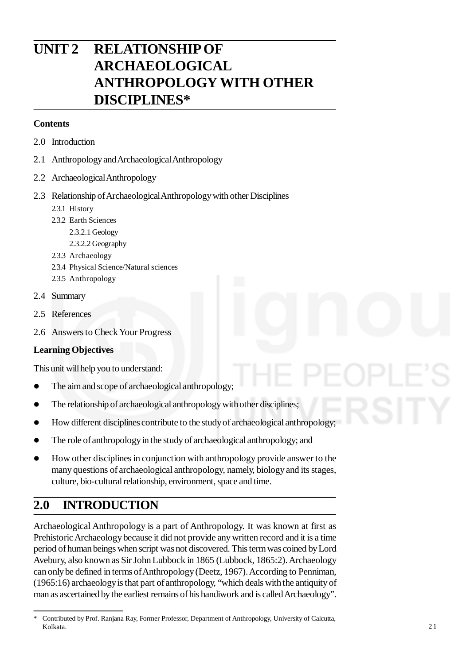# **UNIT 2 RELATIONSHIP OF ARCHAEOLOGICAL ANTHROPOLOGY WITH OTHER DISCIPLINES\***

### **Contents**

- 2.0 Introduction
- 2.1 Anthropology and Archaeological Anthropology
- 2.2 Archaeological Anthropology
- 2.3 Relationship of Archaeological Anthropology with other Disciplines
	- 2.3.1 History
	- 2.3.2 Earth Sciences
		- 2.3.2.1 Geology
		- 2.3.2.2 Geography
	- 2.3.3 Archaeology
	- 2.3.4 Physical Science/Natural sciences
	- 2.3.5 Anthropology
- 2.4 Summary
- 2.5 References
- 2.6 Answers to Check Your Progress

### **Learning Objectives**

This unit will help you to understand:

- The aim and scope of archaeological anthropology;
- The relationship of archaeological anthropology with other disciplines;
- How different disciplines contribute to the study of archaeological anthropology;
- The role of anthropology in the study of archaeological anthropology; and
- How other disciplines in conjunction with anthropology provide answer to the many questions of archaeological anthropology, namely, biology and its stages, culture, bio-cultural relationship, environment, space and time.

# **2.0 INTRODUCTION**

Archaeological Anthropology is a part of Anthropology. It was known at first as Prehistoric Archaeology because it did not provide any written record and it is a time period of human beings when script was not discovered. This term was coined by Lord Avebury, also known as Sir John Lubbock in 1865 (Lubbock, 1865:2). Archaeology can only be defined in terms of Anthropology (Deetz, 1967). According to Penniman, (1965:16) archaeology is that part of anthropology, "which deals with the antiquity of man as ascertained by the earliest remains of his handiwork and is called Archaeology".

<sup>\*</sup> Contributed by Prof. Ranjana Ray, Former Professor, Department of Anthropology, University of Calcutta, Kolkata.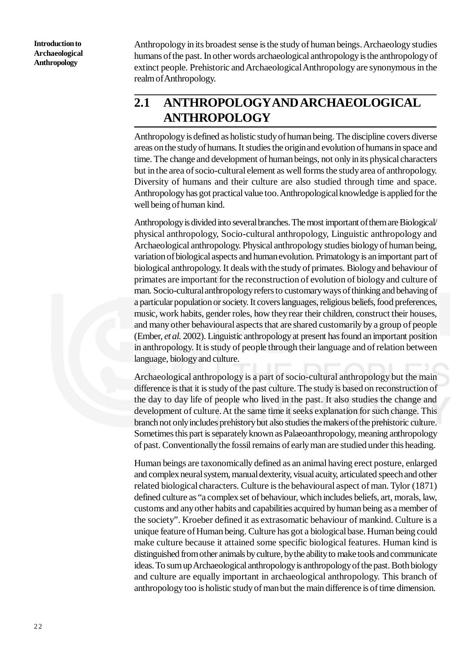Anthropology in its broadest sense is the study of human beings. Archaeology studies humans of the past. In other words archaeological anthropology is the anthropology of extinct people. Prehistoric and Archaeological Anthropology are synonymous in the realm of Anthropology.

# **2.1 ANTHROPOLOGYAND ARCHAEOLOGICAL ANTHROPOLOGY**

Anthropology is defined as holistic study of human being. The discipline covers diverse areas on the study of humans. It studies the origin and evolution of humans in space and time. The change and development of human beings, not only in its physical characters but in the area of socio-cultural element as well forms the study area of anthropology. Diversity of humans and their culture are also studied through time and space. Anthropology has got practical value too. Anthropological knowledge is applied for the well being of human kind.

Anthropology is divided into several branches. The most important of them are Biological/ physical anthropology, Socio-cultural anthropology, Linguistic anthropology and Archaeological anthropology. Physical anthropology studies biology of human being, variation of biological aspects and human evolution. Primatology is an important part of biological anthropology. It deals with the study of primates. Biology and behaviour of primates are important for the reconstruction of evolution of biology and culture of man. Socio-cultural anthropology refers to customary ways of thinking and behaving of a particular population or society. It covers languages, religious beliefs, food preferences, music, work habits, gender roles, how they rear their children, construct their houses, and many other behavioural aspects that are shared customarily by a group of people (Ember, *et al.* 2002). Linguistic anthropology at present has found an important position in anthropology. It is study of people through their language and of relation between language, biology and culture.

Archaeological anthropology is a part of socio-cultural anthropology but the main difference is that it is study of the past culture. The study is based on reconstruction of the day to day life of people who lived in the past. It also studies the change and development of culture. At the same time it seeks explanation for such change. This branch not only includes prehistory but also studies the makers of the prehistoric culture. Sometimes this part is separately known as Palaeoanthropology, meaning anthropology of past. Conventionally the fossil remains of early man are studied under this heading.

Human beings are taxonomically defined as an animal having erect posture, enlarged and complex neural system, manual dexterity, visual acuity, articulated speech and other related biological characters. Culture is the behavioural aspect of man. Tylor (1871) defined culture as "a complex set of behaviour, which includes beliefs, art, morals, law, customs and any other habits and capabilities acquired by human being as a member of the society". Kroeber defined it as extrasomatic behaviour of mankind. Culture is a unique feature of Human being. Culture has got a biological base. Human being could make culture because it attained some specific biological features. Human kind is distinguished from other animals by culture, by the ability to make tools and communicate ideas. To sum up Archaeological anthropology is anthropology of the past. Both biology and culture are equally important in archaeological anthropology. This branch of anthropology too is holistic study of man but the main difference is of time dimension.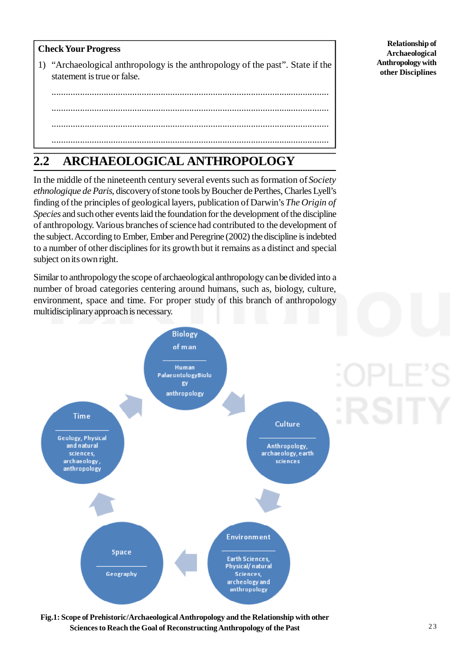### **Check Your Progress**

1) "Archaeological anthropology is the anthropology of the past". State if the statement is true or false.

..................................................................................................................... ..................................................................................................................... ..................................................................................................................... .....................................................................................................................

# **2.2 ARCHAEOLOGICAL ANTHROPOLOGY**

In the middle of the nineteenth century several events such as formation of *Society ethnologique de Paris*, discovery of stone tools by Boucher de Perthes, Charles Lyell's finding of the principles of geological layers, publication of Darwin's *The Origin of Species* and such other events laid the foundation for the development of the discipline of anthropology. Various branches of science had contributed to the development of the subject. According to Ember, Ember and Peregrine (2002) the discipline is indebted to a number of other disciplines for its growth but it remains as a distinct and special subject on its own right.

Similar to anthropology the scope of archaeological anthropology can be divided into a number of broad categories centering around humans, such as, biology, culture, environment, space and time. For proper study of this branch of anthropology multidisciplinary approach is necessary.



**Fig.1: Scope of Prehistoric/Archaeological Anthropology and the Relationship with other Sciences to Reach the Goal of Reconstructing Anthropology of the Past**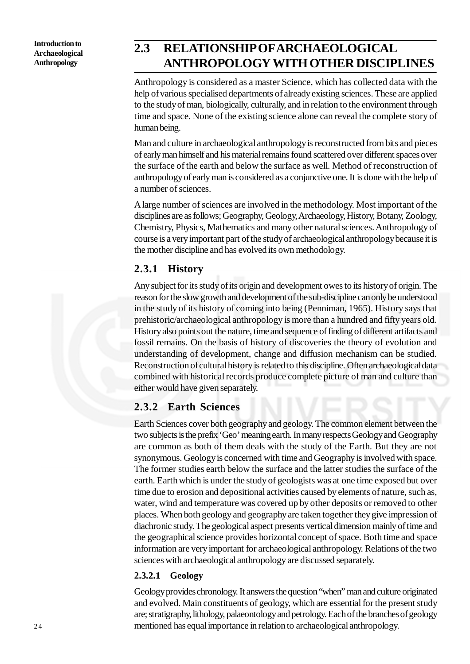# **2.3 RELATIONSHIP OFARCHAEOLOGICAL ANTHROPOLOGY WITH OTHER DISCIPLINES**

Anthropology is considered as a master Science, which has collected data with the help of various specialised departments of already existing sciences. These are applied to the study of man, biologically, culturally, and in relation to the environment through time and space. None of the existing science alone can reveal the complete story of human being.

Man and culture in archaeological anthropology is reconstructed from bits and pieces of early man himself and his material remains found scattered over different spaces over the surface of the earth and below the surface as well. Method of reconstruction of anthropology of early man is considered as a conjunctive one. It is done with the help of a number of sciences.

A large number of sciences are involved in the methodology. Most important of the disciplines are as follows; Geography, Geology, Archaeology, History, Botany, Zoology, Chemistry, Physics, Mathematics and many other natural sciences. Anthropology of course is a very important part of the study of archaeological anthropology because it is the mother discipline and has evolved its own methodology.

## **2.3.1 History**

Any subject for its study of its origin and development owes to its history of origin. The reason for the slow growth and development of the sub-discipline can only be understood in the study of its history of coming into being (Penniman, 1965). History says that prehistoric/archaeological anthropology is more than a hundred and fifty years old. History also points out the nature, time and sequence of finding of different artifacts and fossil remains. On the basis of history of discoveries the theory of evolution and understanding of development, change and diffusion mechanism can be studied. Reconstruction of cultural history is related to this discipline. Often archaeological data combined with historical records produce complete picture of man and culture than either would have given separately.

## **2.3.2 Earth Sciences**

Earth Sciences cover both geography and geology. The common element between the two subjects is the prefix 'Geo' meaning earth. In many respects Geology and Geography are common as both of them deals with the study of the Earth. But they are not synonymous. Geology is concerned with time and Geography is involved with space. The former studies earth below the surface and the latter studies the surface of the earth. Earth which is under the study of geologists was at one time exposed but over time due to erosion and depositional activities caused by elements of nature, such as, water, wind and temperature was covered up by other deposits or removed to other places. When both geology and geography are taken together they give impression of diachronic study. The geological aspect presents vertical dimension mainly of time and the geographical science provides horizontal concept of space. Both time and space information are very important for archaeological anthropology. Relations of the two sciences with archaeological anthropology are discussed separately.

### **2.3.2.1 Geology**

Geology provides chronology. It answers the question "when" man and culture originated and evolved. Main constituents of geology, which are essential for the present study are; stratigraphy, lithology, palaeontology and petrology. Each of the branches of geology mentioned has equal importance in relation to archaeological anthropology.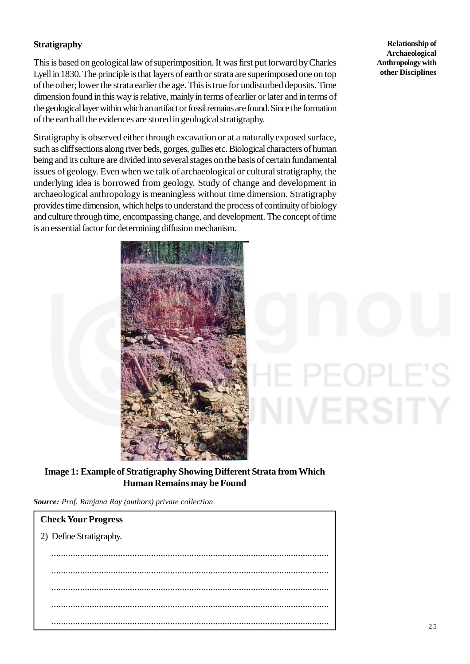### **Stratigraphy**

This is based on geological law of superimposition. It was first put forward by Charles Lyell in 1830. The principle is that layers of earth or strata are superimposed one on top of the other; lower the strata earlier the age. This is true for undisturbed deposits. Time dimension found in this way is relative, mainly in terms of earlier or later and in terms of the geological layer within which an artifact or fossil remains are found. Since the formation of the earth all the evidences are stored in geological stratigraphy.

Stratigraphy is observed either through excavation or at a naturally exposed surface, such as cliff sections along river beds, gorges, gullies etc. Biological characters of human being and its culture are divided into several stages on the basis of certain fundamental issues of geology. Even when we talk of archaeological or cultural stratigraphy, the underlying idea is borrowed from geology. Study of change and development in archaeological anthropology is meaningless without time dimension. Stratigraphy provides time dimension, which helps to understand the process of continuity of biology and culture through time, encompassing change, and development. The concept of time is an essential factor for determining diffusion mechanism.



**Relationship of Archaeological Anthropology with other Disciplines**

/ERSITY

**Image 1: Example of Stratigraphy Showing Different Strata from Which Human Remains may be Found**

*Source: Prof. Ranjana Ray (authors) private collection*

| <b>Check Your Progress</b> |
|----------------------------|
| 2) Define Stratigraphy.    |
|                            |
|                            |
|                            |
|                            |
|                            |
|                            |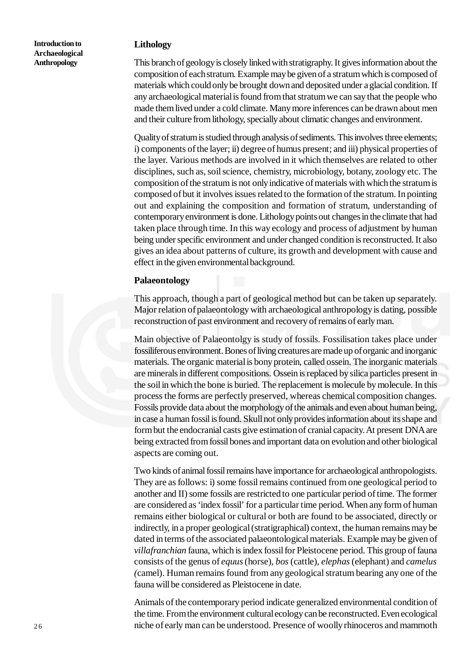### **Lithology**

This branch of geology is closely linked with stratigraphy. It gives information about the composition of each stratum. Example may be given of a stratum which is composed of materials which could only be brought down and deposited under a glacial condition. If any archaeological material is found from that stratum we can say that the people who made them lived under a cold climate. Many more inferences can be drawn about men and their culture from lithology, specially about climatic changes and environment.

Quality of stratum is studied through analysis of sediments. This involves three elements; i) components of the layer; ii) degree of humus present; and iii) physical properties of the layer. Various methods are involved in it which themselves are related to other disciplines, such as, soil science, chemistry, microbiology, botany, zoology etc. The composition of the stratum is not only indicative of materials with which the stratum is composed of but it involves issues related to the formation of the stratum. In pointing out and explaining the composition and formation of stratum, understanding of contemporary environment is done. Lithology points out changes in the climate that had taken place through time. In this way ecology and process of adjustment by human being under specific environment and under changed condition is reconstructed. It also gives an idea about patterns of culture, its growth and development with cause and effect in the given environmental background.

### **Palaeontology**

This approach, though a part of geological method but can be taken up separately. Major relation of palaeontology with archaeological anthropology is dating, possible reconstruction of past environment and recovery of remains of early man.

Main objective of Palaeontolgy is study of fossils. Fossilisation takes place under fossiliferous environment. Bones of living creatures are made up of organic and inorganic materials. The organic material is bony protein, called ossein. The inorganic materials are minerals in different compositions. Ossein is replaced by silica particles present in the soil in which the bone is buried. The replacement is molecule by molecule. In this process the forms are perfectly preserved, whereas chemical composition changes. Fossils provide data about the morphology of the animals and even about human being, in case a human fossil is found. Skull not only provides information about its shape and form but the endocranial casts give estimation of cranial capacity. At present DNA are being extracted from fossil bones and important data on evolution and other biological aspects are coming out.

Two kinds of animal fossil remains have importance for archaeological anthropologists. They are as follows: i) some fossil remains continued from one geological period to another and II) some fossils are restricted to one particular period of time. The former are considered as 'index fossil' for a particular time period. When any form of human remains either biological or cultural or both are found to be associated, directly or indirectly, in a proper geological (stratigraphical) context, the human remains may be dated in terms of the associated palaeontological materials. Example may be given of *villafranchian* fauna, which is index fossil for Pleistocene period. This group of fauna consists of the genus of *equus* (horse), *bos* (cattle), *elephas* (elephant) and *camelus (*camel). Human remains found from any geological stratum bearing any one of the fauna will be considered as Pleistocene in date.

Animals of the contemporary period indicate generalized environmental condition of the time. From the environment cultural ecology can be reconstructed. Even ecological niche of early man can be understood. Presence of woolly rhinoceros and mammoth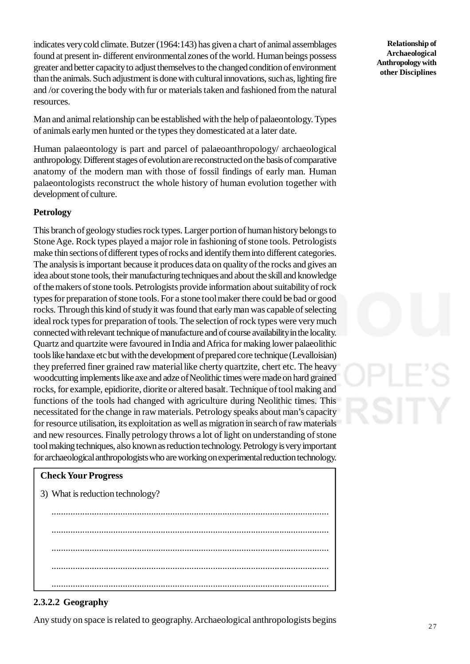indicates very cold climate. Butzer (1964:143) has given a chart of animal assemblages found at present in- different environmental zones of the world. Human beings possess greater and better capacity to adjust themselves to the changed condition of environment than the animals. Such adjustment is done with cultural innovations, such as, lighting fire and /or covering the body with fur or materials taken and fashioned from the natural resources.

Man and animal relationship can be established with the help of palaeontology. Types of animals early men hunted or the types they domesticated at a later date.

Human palaeontology is part and parcel of palaeoanthropology/ archaeological anthropology. Different stages of evolution are reconstructed on the basis of comparative anatomy of the modern man with those of fossil findings of early man. Human palaeontologists reconstruct the whole history of human evolution together with development of culture.

### **Petrology**

This branch of geology studies rock types. Larger portion of human history belongs to Stone Age. Rock types played a major role in fashioning of stone tools. Petrologists make thin sections of different types of rocks and identify them into different categories. The analysis is important because it produces data on quality of the rocks and gives an idea about stone tools, their manufacturing techniques and about the skill and knowledge of the makers of stone tools. Petrologists provide information about suitability of rock types for preparation of stone tools. For a stone tool maker there could be bad or good rocks. Through this kind of study it was found that early man was capable of selecting ideal rock types for preparation of tools. The selection of rock types were very much connected with relevant technique of manufacture and of course availability in the locality. Quartz and quartzite were favoured in India and Africa for making lower palaeolithic tools like handaxe etc but with the development of prepared core technique (Levalloisian) they preferred finer grained raw material like cherty quartzite, chert etc. The heavy woodcutting implements like axe and adze of Neolithic times were made on hard grained rocks, for example, epidiorite, diorite or altered basalt. Technique of tool making and functions of the tools had changed with agriculture during Neolithic times. This necessitated for the change in raw materials. Petrology speaks about man's capacity for resource utilisation, its exploitation as well as migration in search of raw materials and new resources. Finally petrology throws a lot of light on understanding of stone tool making techniques, also known as reduction technology. Petrology is very important for archaeological anthropologists who are working on experimental reduction technology.

### **Check Your Progress**

3) What is reduction technology?

..................................................................................................................... ..................................................................................................................... ..................................................................................................................... ..................................................................................................................... .....................................................................................................................

### **2.3.2.2 Geography**

Any study on space is related to geography. Archaeological anthropologists begins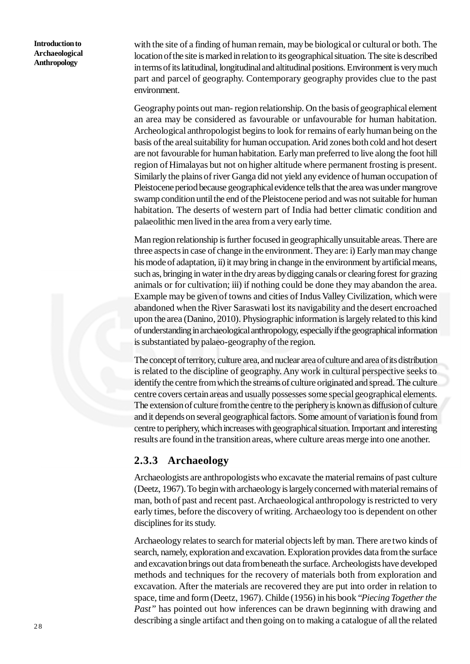with the site of a finding of human remain, may be biological or cultural or both. The location of the site is marked in relation to its geographical situation. The site is described in terms of its latitudinal, longitudinal and altitudinal positions. Environment is very much part and parcel of geography. Contemporary geography provides clue to the past environment.

Geography points out man- region relationship. On the basis of geographical element an area may be considered as favourable or unfavourable for human habitation. Archeological anthropologist begins to look for remains of early human being on the basis of the areal suitability for human occupation. Arid zones both cold and hot desert are not favourable for human habitation. Early man preferred to live along the foot hill region of Himalayas but not on higher altitude where permanent frosting is present. Similarly the plains of river Ganga did not yield any evidence of human occupation of Pleistocene period because geographical evidence tells that the area was under mangrove swamp condition until the end of the Pleistocene period and was not suitable for human habitation. The deserts of western part of India had better climatic condition and palaeolithic men lived in the area from a very early time.

Man region relationship is further focused in geographically unsuitable areas. There are three aspects in case of change in the environment. They are: i) Early man may change his mode of adaptation, ii) it may bring in change in the environment by artificial means, such as, bringing in water in the dry areas by digging canals or clearing forest for grazing animals or for cultivation; iii) if nothing could be done they may abandon the area. Example may be given of towns and cities of Indus Valley Civilization, which were abandoned when the River Saraswati lost its navigability and the desert encroached upon the area (Danino, 2010). Physiographic information is largely related to this kind of understanding in archaeological anthropology, especially if the geographical information is substantiated by palaeo-geography of the region.

The concept of territory, culture area, and nuclear area of culture and area of its distribution is related to the discipline of geography. Any work in cultural perspective seeks to identify the centre from which the streams of culture originated and spread. The culture centre covers certain areas and usually possesses some special geographical elements. The extension of culture from the centre to the periphery is known as diffusion of culture and it depends on several geographical factors. Some amount of variation is found from centre to periphery, which increases with geographical situation. Important and interesting results are found in the transition areas, where culture areas merge into one another.

### **2.3.3 Archaeology**

Archaeologists are anthropologists who excavate the material remains of past culture (Deetz, 1967). To begin with archaeology is largely concerned with material remains of man, both of past and recent past. Archaeological anthropology is restricted to very early times, before the discovery of writing. Archaeology too is dependent on other disciplines for its study.

Archaeology relates to search for material objects left by man. There are two kinds of search, namely, exploration and excavation. Exploration provides data from the surface and excavation brings out data from beneath the surface. Archeologists have developed methods and techniques for the recovery of materials both from exploration and excavation. After the materials are recovered they are put into order in relation to space, time and form (Deetz, 1967). Childe (1956) in his book "*Piecing Together the Past*" has pointed out how inferences can be drawn beginning with drawing and describing a single artifact and then going on to making a catalogue of all the related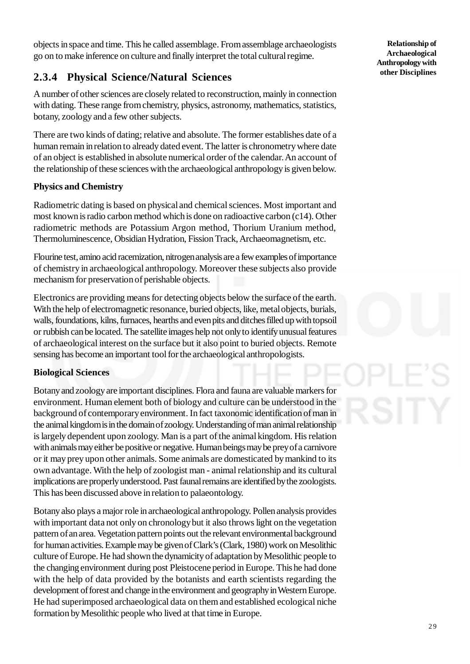objects in space and time. This he called assemblage. From assemblage archaeologists go on to make inference on culture and finally interpret the total cultural regime.

## **2.3.4 Physical Science/Natural Sciences**

A number of other sciences are closely related to reconstruction, mainly in connection with dating. These range from chemistry, physics, astronomy, mathematics, statistics, botany, zoology and a few other subjects.

There are two kinds of dating; relative and absolute. The former establishes date of a human remain in relation to already dated event. The latter is chronometry where date of an object is established in absolute numerical order of the calendar. An account of the relationship of these sciences with the archaeological anthropology is given below.

### **Physics and Chemistry**

Radiometric dating is based on physical and chemical sciences. Most important and most known is radio carbon method which is done on radioactive carbon (c14). Other radiometric methods are Potassium Argon method, Thorium Uranium method, Thermoluminescence, Obsidian Hydration, Fission Track, Archaeomagnetism, etc.

Flourine test, amino acid racemization, nitrogen analysis are a few examples of importance of chemistry in archaeological anthropology. Moreover these subjects also provide mechanism for preservation of perishable objects.

Electronics are providing means for detecting objects below the surface of the earth. With the help of electromagnetic resonance, buried objects, like, metal objects, burials, walls, foundations, kilns, furnaces, hearths and even pits and ditches filled up with topsoil or rubbish can be located. The satellite images help not only to identify unusual features of archaeological interest on the surface but it also point to buried objects. Remote sensing has become an important tool for the archaeological anthropologists.

### **Biological Sciences**

Botany and zoology are important disciplines. Flora and fauna are valuable markers for environment. Human element both of biology and culture can be understood in the background of contemporary environment. In fact taxonomic identification of man in the animal kingdom is in the domain of zoology. Understanding of man animal relationship is largely dependent upon zoology. Man is a part of the animal kingdom. His relation with animals may either be positive or negative. Human beings may be prey of a carnivore or it may prey upon other animals. Some animals are domesticated by mankind to its own advantage. With the help of zoologist man - animal relationship and its cultural implications are properly understood. Past faunal remains are identified by the zoologists. This has been discussed above in relation to palaeontology.

Botany also plays a major role in archaeological anthropology. Pollen analysis provides with important data not only on chronology but it also throws light on the vegetation pattern of an area. Vegetation pattern points out the relevant environmental background for human activities. Example may be given of Clark's (Clark, 1980) work on Mesolithic culture of Europe. He had shown the dynamicity of adaptation by Mesolithic people to the changing environment during post Pleistocene period in Europe. This he had done with the help of data provided by the botanists and earth scientists regarding the development of forest and change in the environment and geography in Western Europe. He had superimposed archaeological data on them and established ecological niche formation by Mesolithic people who lived at that time in Europe.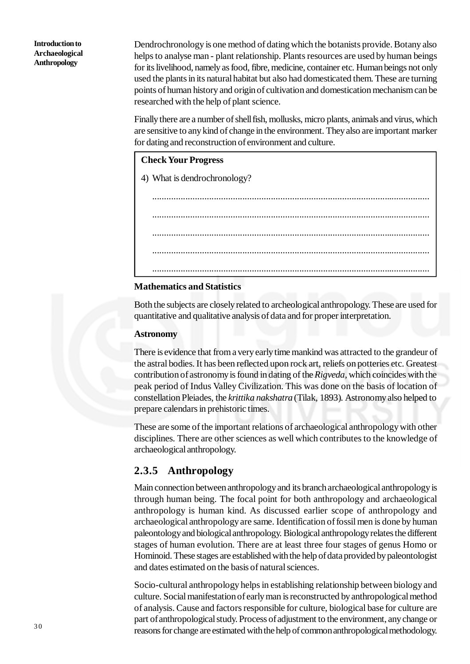Dendrochronology is one method of dating which the botanists provide. Botany also helps to analyse man - plant relationship. Plants resources are used by human beings for its livelihood, namely as food, fibre, medicine, container etc. Human beings not only used the plants in its natural habitat but also had domesticated them. These are turning points of human history and origin of cultivation and domestication mechanism can be researched with the help of plant science.

Finally there are a number of shell fish, mollusks, micro plants, animals and virus, which are sensitive to any kind of change in the environment. They also are important marker for dating and reconstruction of environment and culture.

### **Check Your Progress**

4) What is dendrochronology?

..................................................................................................................... ..................................................................................................................... ..................................................................................................................... ..................................................................................................................... .....................................................................................................................

### **Mathematics and Statistics**

Both the subjects are closely related to archeological anthropology. These are used for quantitative and qualitative analysis of data and for proper interpretation.

### **Astronomy**

There is evidence that from a very early time mankind was attracted to the grandeur of the astral bodies. It has been reflected upon rock art, reliefs on potteries etc. Greatest contribution of astronomy is found in dating of the *Rigveda,* which coincides with the peak period of Indus Valley Civilization. This was done on the basis of location of constellation Pleiades, the *krittika nakshatra* (Tilak, 1893)*.* Astronomy also helped to prepare calendars in prehistoric times.

These are some of the important relations of archaeological anthropology with other disciplines. There are other sciences as well which contributes to the knowledge of archaeological anthropology.

## **2.3.5 Anthropology**

Main connection between anthropology and its branch archaeological anthropology is through human being. The focal point for both anthropology and archaeological anthropology is human kind. As discussed earlier scope of anthropology and archaeological anthropology are same. Identification of fossil men is done by human paleontology and biological anthropology. Biological anthropology relates the different stages of human evolution. There are at least three four stages of genus Homo or Hominoid. These stages are established with the help of data provided by paleontologist and dates estimated on the basis of natural sciences.

Socio-cultural anthropology helps in establishing relationship between biology and culture. Social manifestation of early man is reconstructed by anthropological method of analysis. Cause and factors responsible for culture, biological base for culture are part of anthropological study. Process of adjustment to the environment, any change or reasons for change are estimated with the help of common anthropological methodology.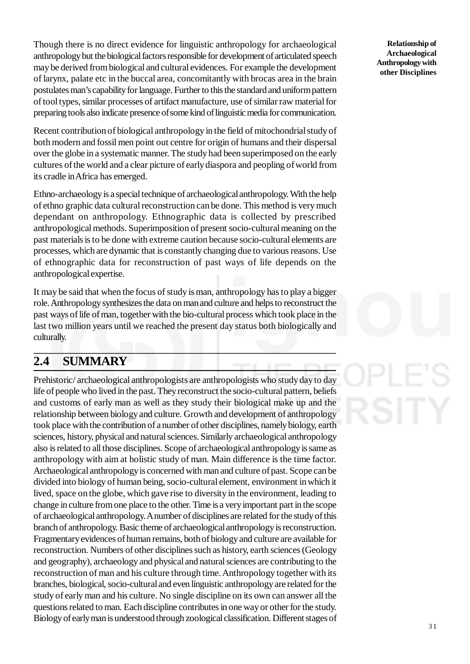Though there is no direct evidence for linguistic anthropology for archaeological anthropology but the biological factors responsible for development of articulated speech may be derived from biological and cultural evidences. For example the development of larynx, palate etc in the buccal area, concomitantly with brocas area in the brain postulates man's capability for language. Further to this the standard and uniform pattern of tool types, similar processes of artifact manufacture, use of similar raw material for preparing tools also indicate presence of some kind of linguistic media for communication.

Recent contribution of biological anthropology in the field of mitochondrial study of both modern and fossil men point out centre for origin of humans and their dispersal over the globe in a systematic manner. The study had been superimposed on the early cultures of the world and a clear picture of early diaspora and peopling of world from its cradle in Africa has emerged.

Ethno-archaeology is a special technique of archaeological anthropology. With the help of ethno graphic data cultural reconstruction can be done. This method is very much dependant on anthropology. Ethnographic data is collected by prescribed anthropological methods. Superimposition of present socio-cultural meaning on the past materials is to be done with extreme caution because socio-cultural elements are processes, which are dynamic that is constantly changing due to various reasons. Use of ethnographic data for reconstruction of past ways of life depends on the anthropological expertise.

It may be said that when the focus of study is man, anthropology has to play a bigger role. Anthropology synthesizes the data on man and culture and helps to reconstruct the past ways of life of man, together with the bio-cultural process which took place in the last two million years until we reached the present day status both biologically and culturally.

# **2.4 SUMMARY**

Prehistoric/ archaeological anthropologists are anthropologists who study day to day life of people who lived in the past. They reconstruct the socio-cultural pattern, beliefs and customs of early man as well as they study their biological make up and the relationship between biology and culture. Growth and development of anthropology took place with the contribution of a number of other disciplines, namely biology, earth sciences, history, physical and natural sciences. Similarly archaeological anthropology also is related to all those disciplines. Scope of archaeological anthropology is same as anthropology with aim at holistic study of man. Main difference is the time factor. Archaeological anthropology is concerned with man and culture of past. Scope can be divided into biology of human being, socio-cultural element, environment in which it lived, space on the globe, which gave rise to diversity in the environment, leading to change in culture from one place to the other. Time is a very important part in the scope of archaeological anthropology. A number of disciplines are related for the study of this branch of anthropology. Basic theme of archaeological anthropology is reconstruction. Fragmentary evidences of human remains, both of biology and culture are available for reconstruction. Numbers of other disciplines such as history, earth sciences (Geology and geography), archaeology and physical and natural sciences are contributing to the reconstruction of man and his culture through time. Anthropology together with its branches, biological, socio-cultural and even linguistic anthropology are related for the study of early man and his culture. No single discipline on its own can answer all the questions related to man. Each discipline contributes in one way or other for the study. Biology of early man is understood through zoological classification. Different stages of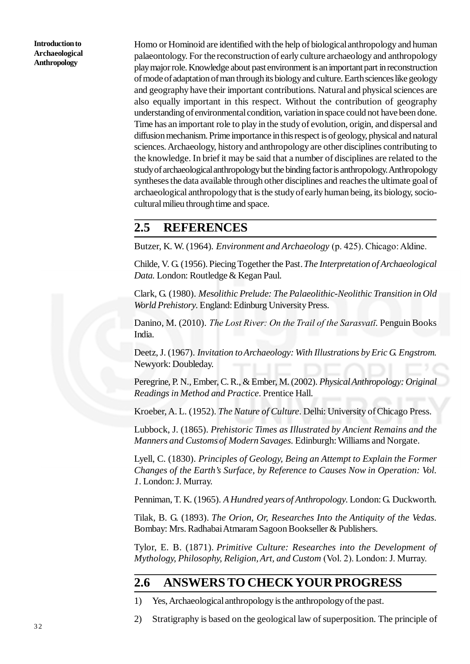Homo or Hominoid are identified with the help of biological anthropology and human palaeontology. For the reconstruction of early culture archaeology and anthropology play major role. Knowledge about past environment is an important part in reconstruction of mode of adaptation of man through its biology and culture. Earth sciences like geology and geography have their important contributions. Natural and physical sciences are also equally important in this respect. Without the contribution of geography understanding of environmental condition, variation in space could not have been done. Time has an important role to play in the study of evolution, origin, and dispersal and diffusion mechanism. Prime importance in this respect is of geology, physical and natural sciences. Archaeology, history and anthropology are other disciplines contributing to the knowledge. In brief it may be said that a number of disciplines are related to the study of archaeological anthropology but the binding factor is anthropology. Anthropology syntheses the data available through other disciplines and reaches the ultimate goal of archaeological anthropology that is the study of early human being, its biology, sociocultural milieu through time and space.

## **2.5 REFERENCES**

Butzer, K. W. (1964). *Environment and Archaeology* (p. 425). Chicago: Aldine.

Childe, V. G. (1956). Piecing Together the Past. *The Interpretation of Archaeological Data.* London: Routledge & Kegan Paul.

Clark, G. (1980). *Mesolithic Prelude: The Palaeolithic-Neolithic Transition in Old World Prehistory*. England: Edinburg University Press.

Danino, M. (2010). *The Lost River: On the Trail of the Sarasvatī*. Penguin Books India.

Deetz, J. (1967). *Invitation to Archaeology: With Illustrations by Eric G. Engstrom*. Newyork: Doubleday.

Peregrine, P. N., Ember, C. R., & Ember, M. (2002). *Physical Anthropology: Original Readings in Method and Practice*. Prentice Hall.

Kroeber, A. L. (1952). *The Nature of Culture*. Delhi: University of Chicago Press.

Lubbock, J. (1865). *Prehistoric Times as Illustrated by Ancient Remains and the Manners and Customs of Modern Savages*. Edinburgh: Williams and Norgate.

Lyell, C. (1830). *Principles of Geology, Being an Attempt to Explain the Former Changes of the Earth's Surface, by Reference to Causes Now in Operation: Vol. 1*. London: J. Murray.

Penniman, T. K. (1965). *A Hundred years of Anthropology*. London: G. Duckworth.

Tilak, B. G. (1893). *The Orion, Or, Researches Into the Antiquity of the Vedas*. Bombay: Mrs. Radhabai Atmaram Sagoon Bookseller & Publishers.

Tylor, E. B. (1871). *Primitive Culture: Researches into the Development of Mythology, Philosophy, Religion, Art, and Custom* (Vol. 2). London: J. Murray.

## **2.6 ANSWERS TO CHECK YOUR PROGRESS**

- 1) Yes, Archaeological anthropology is the anthropology of the past.
- 2) Stratigraphy is based on the geological law of superposition. The principle of